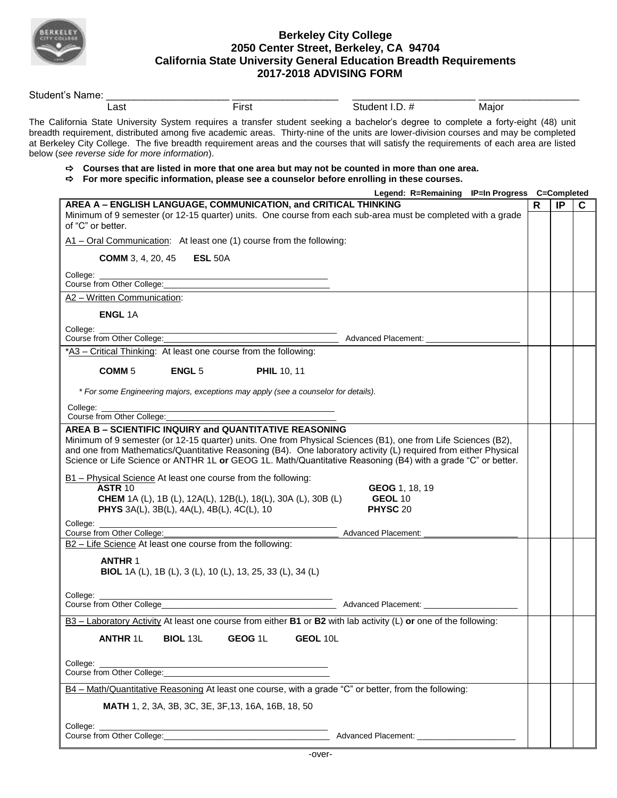

## **Berkeley City College 2050 Center Street, Berkeley, CA 94704 California State University General Education Breadth Requirements 2017-2018 ADVISING FORM**

| Last                                                                                                                                                                                                                           |                                                                                                                                                                                                                                                                                                                                                                                                                       |                                                |       |   |    |    |
|--------------------------------------------------------------------------------------------------------------------------------------------------------------------------------------------------------------------------------|-----------------------------------------------------------------------------------------------------------------------------------------------------------------------------------------------------------------------------------------------------------------------------------------------------------------------------------------------------------------------------------------------------------------------|------------------------------------------------|-------|---|----|----|
|                                                                                                                                                                                                                                | First                                                                                                                                                                                                                                                                                                                                                                                                                 | Student I.D. #                                 | Major |   |    |    |
| below (see reverse side for more information).                                                                                                                                                                                 | The California State University System requires a transfer student seeking a bachelor's degree to complete a forty-eight (48) unit<br>breadth requirement, distributed among five academic areas. Thirty-nine of the units are lower-division courses and may be completed<br>at Berkeley City College. The five breadth requirement areas and the courses that will satisfy the requirements of each area are listed |                                                |       |   |    |    |
|                                                                                                                                                                                                                                | $\Rightarrow$ Courses that are listed in more that one area but may not be counted in more than one area.<br>$\Rightarrow$ For more specific information, please see a counselor before enrolling in these courses.                                                                                                                                                                                                   |                                                |       |   |    |    |
|                                                                                                                                                                                                                                |                                                                                                                                                                                                                                                                                                                                                                                                                       | Legend: R=Remaining IP=In Progress C=Completed |       |   |    |    |
| of "C" or better.                                                                                                                                                                                                              | AREA A - ENGLISH LANGUAGE, COMMUNICATION, and CRITICAL THINKING<br>Minimum of 9 semester (or 12-15 quarter) units. One course from each sub-area must be completed with a grade                                                                                                                                                                                                                                       |                                                |       | R | IP | C. |
|                                                                                                                                                                                                                                | A1 - Oral Communication: At least one (1) course from the following:                                                                                                                                                                                                                                                                                                                                                  |                                                |       |   |    |    |
| <b>COMM</b> 3, 4, 20, 45                                                                                                                                                                                                       | <b>ESL 50A</b>                                                                                                                                                                                                                                                                                                                                                                                                        |                                                |       |   |    |    |
| College:<br>Course from Other College:                                                                                                                                                                                         |                                                                                                                                                                                                                                                                                                                                                                                                                       |                                                |       |   |    |    |
| A2 - Written Communication:                                                                                                                                                                                                    |                                                                                                                                                                                                                                                                                                                                                                                                                       |                                                |       |   |    |    |
| <b>ENGL 1A</b>                                                                                                                                                                                                                 |                                                                                                                                                                                                                                                                                                                                                                                                                       |                                                |       |   |    |    |
| College:                                                                                                                                                                                                                       |                                                                                                                                                                                                                                                                                                                                                                                                                       |                                                |       |   |    |    |
| Course from Other College:                                                                                                                                                                                                     | *A3 - Critical Thinking: At least one course from the following:                                                                                                                                                                                                                                                                                                                                                      | <b>Advanced Placement:</b>                     |       |   |    |    |
|                                                                                                                                                                                                                                |                                                                                                                                                                                                                                                                                                                                                                                                                       |                                                |       |   |    |    |
| COMM <sub>5</sub>                                                                                                                                                                                                              | <b>ENGL 5</b><br><b>PHIL 10, 11</b>                                                                                                                                                                                                                                                                                                                                                                                   |                                                |       |   |    |    |
|                                                                                                                                                                                                                                | * For some Engineering majors, exceptions may apply (see a counselor for details).                                                                                                                                                                                                                                                                                                                                    |                                                |       |   |    |    |
|                                                                                                                                                                                                                                |                                                                                                                                                                                                                                                                                                                                                                                                                       |                                                |       |   |    |    |
| College:<br>Course from Other College:                                                                                                                                                                                         |                                                                                                                                                                                                                                                                                                                                                                                                                       |                                                |       |   |    |    |
|                                                                                                                                                                                                                                | AREA B - SCIENTIFIC INQUIRY and QUANTITATIVE REASONING                                                                                                                                                                                                                                                                                                                                                                |                                                |       |   |    |    |
|                                                                                                                                                                                                                                | Minimum of 9 semester (or 12-15 quarter) units. One from Physical Sciences (B1), one from Life Sciences (B2),                                                                                                                                                                                                                                                                                                         |                                                |       |   |    |    |
|                                                                                                                                                                                                                                | and one from Mathematics/Quantitative Reasoning (B4). One laboratory activity (L) required from either Physical<br>Science or Life Science or ANTHR 1L or GEOG 1L. Math/Quantitative Reasoning (B4) with a grade "C" or better.                                                                                                                                                                                       |                                                |       |   |    |    |
|                                                                                                                                                                                                                                |                                                                                                                                                                                                                                                                                                                                                                                                                       |                                                |       |   |    |    |
|                                                                                                                                                                                                                                |                                                                                                                                                                                                                                                                                                                                                                                                                       |                                                |       |   |    |    |
|                                                                                                                                                                                                                                | B1 - Physical Science At least one course from the following:                                                                                                                                                                                                                                                                                                                                                         |                                                |       |   |    |    |
| <b>ASTR 10</b>                                                                                                                                                                                                                 |                                                                                                                                                                                                                                                                                                                                                                                                                       | GEOG 1, 18, 19<br><b>GEOL 10</b>               |       |   |    |    |
|                                                                                                                                                                                                                                | <b>CHEM</b> 1A (L), 1B (L), 12A(L), 12B(L), 18(L), 30A (L), 30B (L)<br>PHYS 3A(L), 3B(L), 4A(L), 4B(L), 4C(L), 10                                                                                                                                                                                                                                                                                                     | <b>PHYSC 20</b>                                |       |   |    |    |
| College:                                                                                                                                                                                                                       |                                                                                                                                                                                                                                                                                                                                                                                                                       |                                                |       |   |    |    |
| Course from Other College:                                                                                                                                                                                                     |                                                                                                                                                                                                                                                                                                                                                                                                                       | Advanced Placement:                            |       |   |    |    |
|                                                                                                                                                                                                                                | B2 - Life Science At least one course from the following:                                                                                                                                                                                                                                                                                                                                                             |                                                |       |   |    |    |
| <b>ANTHR 1</b>                                                                                                                                                                                                                 |                                                                                                                                                                                                                                                                                                                                                                                                                       |                                                |       |   |    |    |
|                                                                                                                                                                                                                                | BIOL 1A (L), 1B (L), 3 (L), 10 (L), 13, 25, 33 (L), 34 (L)                                                                                                                                                                                                                                                                                                                                                            |                                                |       |   |    |    |
|                                                                                                                                                                                                                                |                                                                                                                                                                                                                                                                                                                                                                                                                       |                                                |       |   |    |    |
|                                                                                                                                                                                                                                |                                                                                                                                                                                                                                                                                                                                                                                                                       |                                                |       |   |    |    |
|                                                                                                                                                                                                                                |                                                                                                                                                                                                                                                                                                                                                                                                                       |                                                |       |   |    |    |
|                                                                                                                                                                                                                                | B3 - Laboratory Activity At least one course from either <b>B1</b> or <b>B2</b> with lab activity (L) or one of the following:                                                                                                                                                                                                                                                                                        |                                                |       |   |    |    |
| <b>ANTHR 1L</b>                                                                                                                                                                                                                | <b>BIOL 13L GEOG 1L</b>                                                                                                                                                                                                                                                                                                                                                                                               | GEOL 10L                                       |       |   |    |    |
|                                                                                                                                                                                                                                |                                                                                                                                                                                                                                                                                                                                                                                                                       |                                                |       |   |    |    |
| College: the college of the college of the college of the college of the collection of the collection of the collection of the collection of the collection of the collection of the collection of the collection of the colle |                                                                                                                                                                                                                                                                                                                                                                                                                       |                                                |       |   |    |    |
|                                                                                                                                                                                                                                |                                                                                                                                                                                                                                                                                                                                                                                                                       |                                                |       |   |    |    |
|                                                                                                                                                                                                                                | B4 - Math/Quantitative Reasoning At least one course, with a grade "C" or better, from the following:                                                                                                                                                                                                                                                                                                                 |                                                |       |   |    |    |
|                                                                                                                                                                                                                                | <b>MATH</b> 1, 2, 3A, 3B, 3C, 3E, 3F, 13, 16A, 16B, 18, 50                                                                                                                                                                                                                                                                                                                                                            |                                                |       |   |    |    |
|                                                                                                                                                                                                                                |                                                                                                                                                                                                                                                                                                                                                                                                                       |                                                |       |   |    |    |